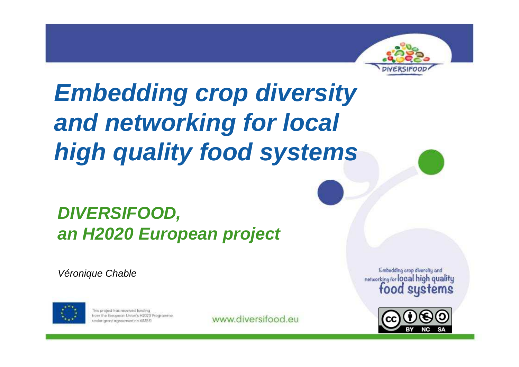

# **Embedding crop diversity and networking for local high quality food systems**

### **DIVERSIFOOD, an H2020 European project**

Véronique Chable



This project has received funding from the European Union's H2020 Programme under grant agreement no 65357!

www.diversifood.eu

Embedding orop diversity and networking for local high quality food systems

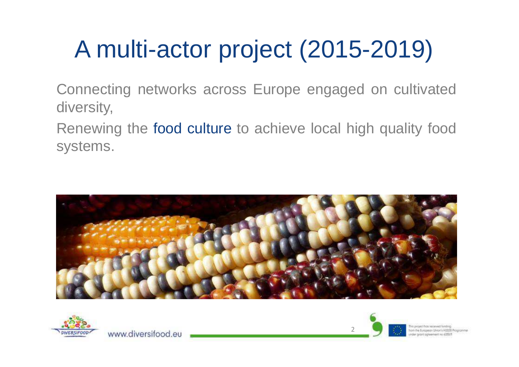### A multi-actor project (2015-2019)

Connecting networks across Europe engaged on cultivateddiversity,

Renewing the f<mark>ood culture</mark> to achieve local high quality food systems.



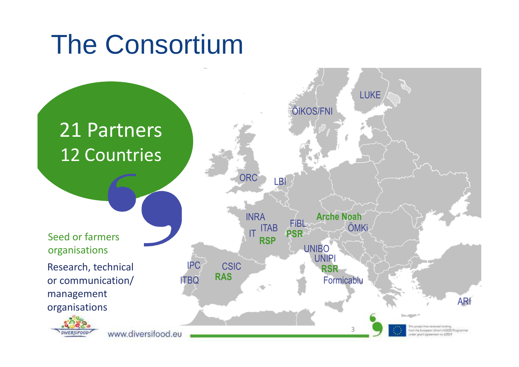### The Consortium

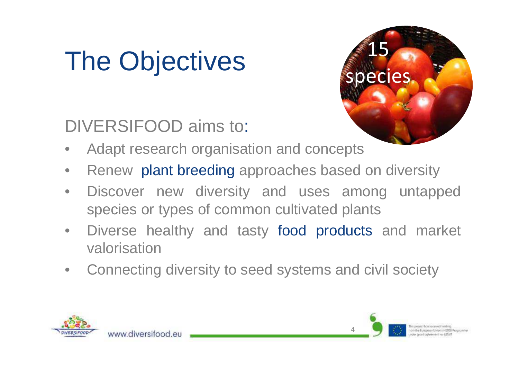# The Objectives

www.diversifood.eu



- DIVERSIFOOD aims to: •Adapt research organisation and concepts
- $\bullet$ Renew plant breeding approaches based on diversity
- $\bullet$ Discover new diversity and uses among untapped species or types of common cultivated plants
- $\bullet$  Diverse healthy and tasty food products and market valorisation
- $\bullet$ Connecting diversity to seed systems and civil society



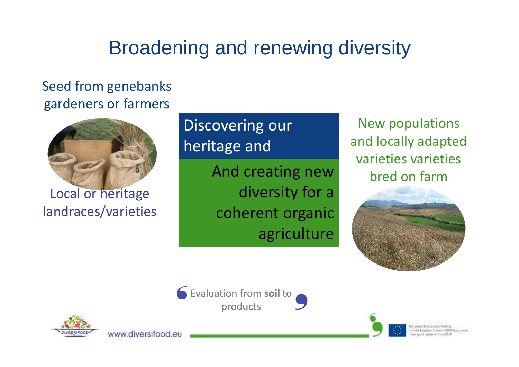### Broadening and renewing diversity

#### Seed from genebanks gardeners or farmers



Local or heritagelandraces/varieties

www.diversifood.eu

### Discovering our heritage and

And creating new diversity for a coherent organic agriculture

New populations and locally adapted varieties varieties bred on farm





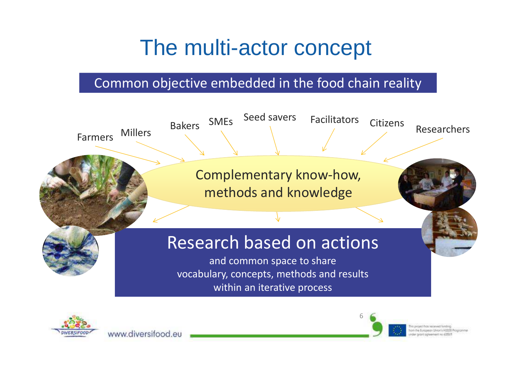### The multi-actor concept

#### Common objective embedded in the food chain reality





www.diversifood.eu

6